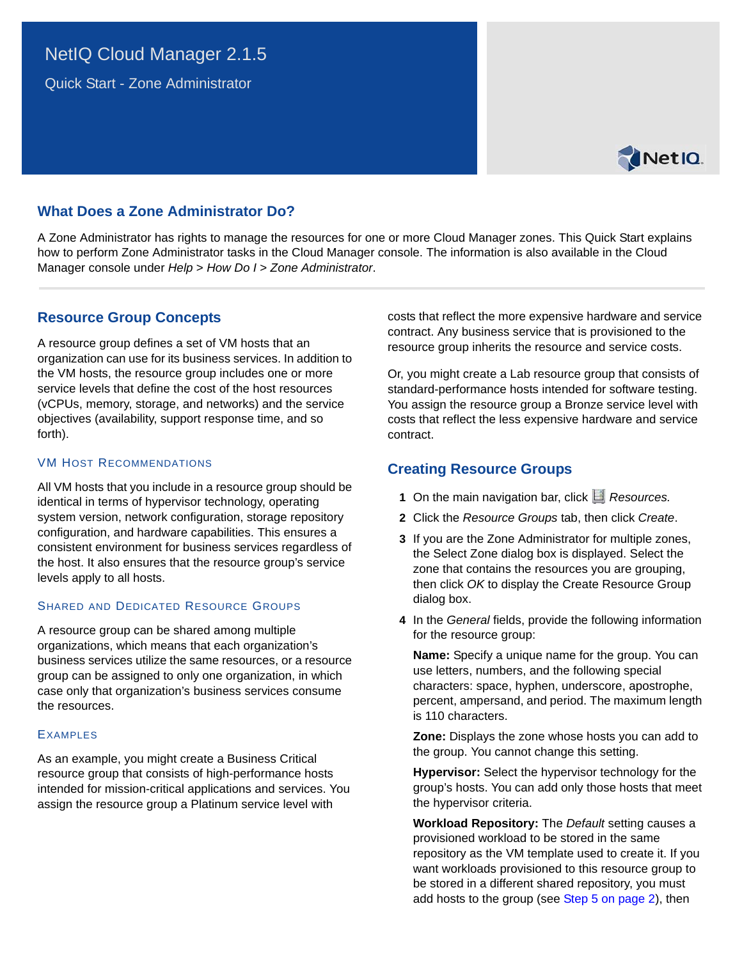# NetIQ Cloud Manager 2.1.5

Quick Start - Zone Administrator



## **What Does a Zone Administrator Do?**

A Zone Administrator has rights to manage the resources for one or more Cloud Manager zones. This Quick Start explains how to perform Zone Administrator tasks in the Cloud Manager console. The information is also available in the Cloud Manager console under *Help* > *How Do I* > *Zone Administrator*.

### **Resource Group Concepts**

A resource group defines a set of VM hosts that an organization can use for its business services. In addition to the VM hosts, the resource group includes one or more service levels that define the cost of the host resources (vCPUs, memory, storage, and networks) and the service objectives (availability, support response time, and so forth).

### VM HOST RECOMMENDATIONS

All VM hosts that you include in a resource group should be identical in terms of hypervisor technology, operating system version, network configuration, storage repository configuration, and hardware capabilities. This ensures a consistent environment for business services regardless of the host. It also ensures that the resource group's service levels apply to all hosts.

### SHARED AND DEDICATED RESOURCE GROUPS

A resource group can be shared among multiple organizations, which means that each organization's business services utilize the same resources, or a resource group can be assigned to only one organization, in which case only that organization's business services consume the resources.

### **EXAMPLES**

As an example, you might create a Business Critical resource group that consists of high-performance hosts intended for mission-critical applications and services. You assign the resource group a Platinum service level with

costs that reflect the more expensive hardware and service contract. Any business service that is provisioned to the resource group inherits the resource and service costs.

Or, you might create a Lab resource group that consists of standard-performance hosts intended for software testing. You assign the resource group a Bronze service level with costs that reflect the less expensive hardware and service contract.

# **Creating Resource Groups**

- 1 On the main navigation bar, click *Resources.*
- **2** Click the *Resource Groups* tab, then click *Create*.
- **3** If you are the Zone Administrator for multiple zones, the Select Zone dialog box is displayed. Select the zone that contains the resources you are grouping, then click *OK* to display the Create Resource Group dialog box.
- **4** In the *General* fields, provide the following information for the resource group:

**Name:** Specify a unique name for the group. You can use letters, numbers, and the following special characters: space, hyphen, underscore, apostrophe, percent, ampersand, and period. The maximum length is 110 characters.

**Zone:** Displays the zone whose hosts you can add to the group. You cannot change this setting.

**Hypervisor:** Select the hypervisor technology for the group's hosts. You can add only those hosts that meet the hypervisor criteria.

**Workload Repository:** The *Default* setting causes a provisioned workload to be stored in the same repository as the VM template used to create it. If you want workloads provisioned to this resource group to be stored in a different shared repository, you must add hosts to the group (see [Step 5 on page 2\)](#page-1-0), then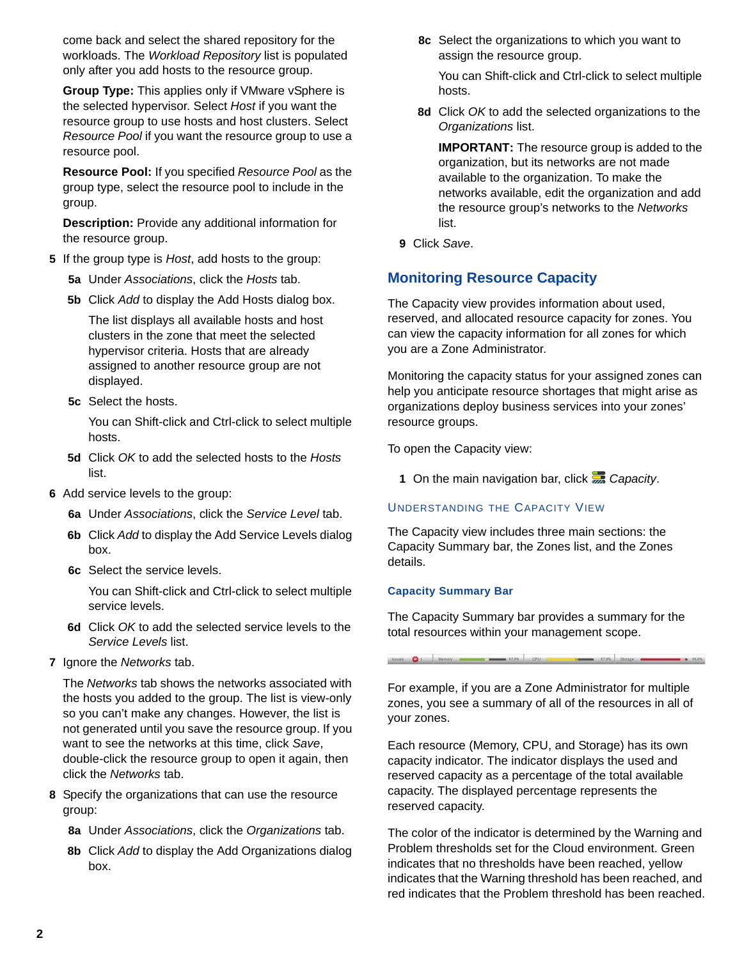come back and select the shared repository for the workloads. The *Workload Repository* list is populated only after you add hosts to the resource group.

**Group Type:** This applies only if VMware vSphere is the selected hypervisor. Select *Host* if you want the resource group to use hosts and host clusters. Select *Resource Pool* if you want the resource group to use a resource pool.

**Resource Pool:** If you specified *Resource Pool* as the group type, select the resource pool to include in the group.

**Description:** Provide any additional information for the resource group.

- <span id="page-1-0"></span>**5** If the group type is *Host*, add hosts to the group:
	- **5a** Under *Associations*, click the *Hosts* tab.
	- **5b** Click *Add* to display the Add Hosts dialog box.

The list displays all available hosts and host clusters in the zone that meet the selected hypervisor criteria. Hosts that are already assigned to another resource group are not displayed.

**5c** Select the hosts.

You can Shift-click and Ctrl-click to select multiple hosts.

- **5d** Click *OK* to add the selected hosts to the *Hosts* list.
- **6** Add service levels to the group:
	- **6a** Under *Associations*, click the *Service Level* tab.
	- **6b** Click *Add* to display the Add Service Levels dialog box.
	- **6c** Select the service levels.

You can Shift-click and Ctrl-click to select multiple service levels.

- **6d** Click *OK* to add the selected service levels to the *Service Levels* list.
- **7** Ignore the *Networks* tab.

The *Networks* tab shows the networks associated with the hosts you added to the group. The list is view-only so you can't make any changes. However, the list is not generated until you save the resource group. If you want to see the networks at this time, click *Save*, double-click the resource group to open it again, then click the *Networks* tab.

- **8** Specify the organizations that can use the resource group:
	- **8a** Under *Associations*, click the *Organizations* tab.
	- **8b** Click *Add* to display the Add Organizations dialog box.

**8c** Select the organizations to which you want to assign the resource group.

You can Shift-click and Ctrl-click to select multiple hosts.

**8d** Click *OK* to add the selected organizations to the *Organizations* list.

**IMPORTANT:** The resource group is added to the organization, but its networks are not made available to the organization. To make the networks available, edit the organization and add the resource group's networks to the *Networks* list.

**9** Click *Save*.

### **Monitoring Resource Capacity**

The Capacity view provides information about used, reserved, and allocated resource capacity for zones. You can view the capacity information for all zones for which you are a Zone Administrator.

Monitoring the capacity status for your assigned zones can help you anticipate resource shortages that might arise as organizations deploy business services into your zones' resource groups.

To open the Capacity view:

**1** On the main navigation bar, click **C**apacity.

#### UNDERSTANDING THE CAPACITY VIEW

The Capacity view includes three main sections: the Capacity Summary bar, the Zones list, and the Zones details.

#### **Capacity Summary Bar**

The Capacity Summary bar provides a summary for the total resources within your management scope.

thinks O 1 Mimory Company 221% CPU

For example, if you are a Zone Administrator for multiple zones, you see a summary of all of the resources in all of your zones.

Each resource (Memory, CPU, and Storage) has its own capacity indicator. The indicator displays the used and reserved capacity as a percentage of the total available capacity. The displayed percentage represents the reserved capacity.

The color of the indicator is determined by the Warning and Problem thresholds set for the Cloud environment. Green indicates that no thresholds have been reached, yellow indicates that the Warning threshold has been reached, and red indicates that the Problem threshold has been reached.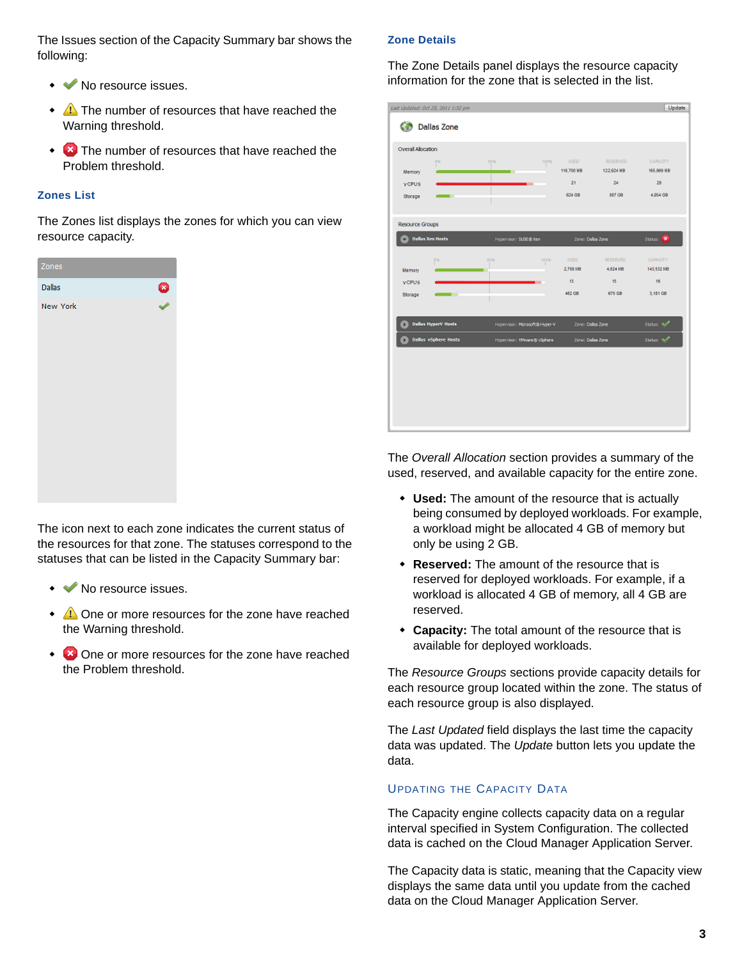The Issues section of the Capacity Summary bar shows the following:

- ◆ ◆ No resource issues.
- $\triangle$  The number of resources that have reached the Warning threshold.
- $\overline{\bullet}$  The number of resources that have reached the Problem threshold.

### **Zones List**

The Zones list displays the zones for which you can view resource capacity.



The icon next to each zone indicates the current status of the resources for that zone. The statuses correspond to the statuses that can be listed in the Capacity Summary bar:

- ◆ ◆ No resource issues.
- $\triangle$  One or more resources for the zone have reached the Warning threshold.
- $\overline{\bullet}$  One or more resources for the zone have reached the Problem threshold.

### **Zone Details**

The Zone Details panel displays the resource capacity information for the zone that is selected in the list.

|                             | Last Updated: Oct 25, 2011 1:32 pm                          |          |                                            |                     |                               | Update                  |
|-----------------------------|-------------------------------------------------------------|----------|--------------------------------------------|---------------------|-------------------------------|-------------------------|
| <b>Dallas Zone</b>          |                                                             |          |                                            |                     |                               |                         |
| <b>Overal Alocation</b>     |                                                             |          |                                            |                     |                               |                         |
| <b>Memory</b>               | 0%                                                          | 50%<br>œ | 100%                                       | USED.<br>116,700 MB | <b>RESERVED</b><br>122,624 MB | CARACITY<br>165,969 MB  |
| <b>VCPUS</b>                |                                                             |          |                                            | 21                  | 24                            | 28                      |
| Storage                     |                                                             |          |                                            | 624 08              | 807.08                        | 4,854 0B                |
|                             |                                                             |          |                                            |                     |                               |                         |
| <b>Resource Groups</b>      |                                                             |          |                                            |                     |                               |                         |
|                             | <b>Dallas Xen Hosts</b>                                     |          | Hypervisor: SUSE® Xen<br>Zone: Dallas Zone |                     |                               | Status: X               |
|                             |                                                             |          |                                            |                     |                               |                         |
|                             | d%                                                          | 60%      | 100%                                       | USED.               | RESERVED:                     | <b>CARACITY</b>         |
| <b>Memory</b>               |                                                             |          |                                            | 2,700 MB            | 4,624108                      | 143,532108              |
| <b>VCPUS</b>                |                                                             |          |                                            | 13                  | 15                            | 16                      |
| Storage                     | ۰                                                           |          |                                            | 462.08              | <b>675 GB</b>                 | 3.181.08                |
|                             |                                                             |          |                                            |                     |                               |                         |
|                             | <b>Dellas HyperV Hosts</b><br>Hypervisor: Microsoft@Hyper-V |          |                                            | Zone: Dallas Zone   |                               | Status: 40 <sup>0</sup> |
| <b>Dallas vSphere Hosts</b> |                                                             |          | Hypervisor: Wiware@vSphere                 |                     |                               | Status: 4/              |
|                             |                                                             |          |                                            | Zone: Dellas Zone   |                               |                         |
|                             |                                                             |          |                                            |                     |                               |                         |
|                             |                                                             |          |                                            |                     |                               |                         |
|                             |                                                             |          |                                            |                     |                               |                         |
|                             |                                                             |          |                                            |                     |                               |                         |
|                             |                                                             |          |                                            |                     |                               |                         |
|                             |                                                             |          |                                            |                     |                               |                         |
|                             |                                                             |          |                                            |                     |                               |                         |

The *Overall Allocation* section provides a summary of the used, reserved, and available capacity for the entire zone.

- **Used:** The amount of the resource that is actually being consumed by deployed workloads. For example, a workload might be allocated 4 GB of memory but only be using 2 GB.
- **Reserved:** The amount of the resource that is reserved for deployed workloads. For example, if a workload is allocated 4 GB of memory, all 4 GB are reserved.
- **Capacity:** The total amount of the resource that is available for deployed workloads.

The *Resource Groups* sections provide capacity details for each resource group located within the zone. The status of each resource group is also displayed.

The *Last Updated* field displays the last time the capacity data was updated. The *Update* button lets you update the data.

### UPDATING THE CAPACITY DATA

The Capacity engine collects capacity data on a regular interval specified in System Configuration. The collected data is cached on the Cloud Manager Application Server.

The Capacity data is static, meaning that the Capacity view displays the same data until you update from the cached data on the Cloud Manager Application Server.